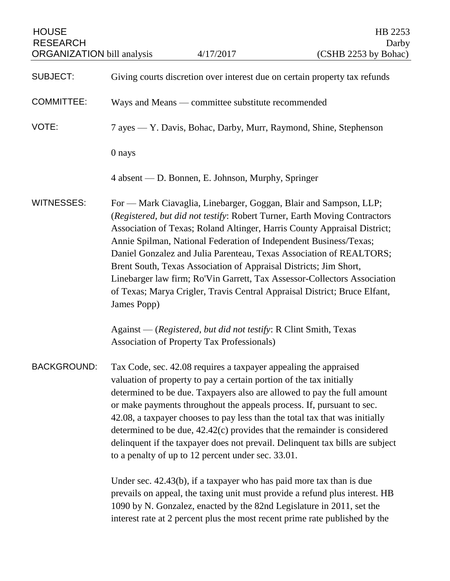| <b>HOUSE</b><br><b>RESEARCH</b><br><b>ORGANIZATION</b> bill analysis |                                                                                                                                                                                                                                                                                                                                                                                                                                                                                                                                                                                                                                                                          | 4/17/2017                                                                                                      | HB 2253<br>Darby<br>(CSHB 2253 by Bohac)                                                                                                             |
|----------------------------------------------------------------------|--------------------------------------------------------------------------------------------------------------------------------------------------------------------------------------------------------------------------------------------------------------------------------------------------------------------------------------------------------------------------------------------------------------------------------------------------------------------------------------------------------------------------------------------------------------------------------------------------------------------------------------------------------------------------|----------------------------------------------------------------------------------------------------------------|------------------------------------------------------------------------------------------------------------------------------------------------------|
| <b>SUBJECT:</b>                                                      |                                                                                                                                                                                                                                                                                                                                                                                                                                                                                                                                                                                                                                                                          |                                                                                                                | Giving courts discretion over interest due on certain property tax refunds                                                                           |
| <b>COMMITTEE:</b>                                                    |                                                                                                                                                                                                                                                                                                                                                                                                                                                                                                                                                                                                                                                                          | Ways and Means — committee substitute recommended                                                              |                                                                                                                                                      |
| VOTE:                                                                | 7 ayes — Y. Davis, Bohac, Darby, Murr, Raymond, Shine, Stephenson                                                                                                                                                                                                                                                                                                                                                                                                                                                                                                                                                                                                        |                                                                                                                |                                                                                                                                                      |
|                                                                      | 0 nays                                                                                                                                                                                                                                                                                                                                                                                                                                                                                                                                                                                                                                                                   |                                                                                                                |                                                                                                                                                      |
|                                                                      |                                                                                                                                                                                                                                                                                                                                                                                                                                                                                                                                                                                                                                                                          | 4 absent — D. Bonnen, E. Johnson, Murphy, Springer                                                             |                                                                                                                                                      |
| <b>WITNESSES:</b>                                                    | For — Mark Ciavaglia, Linebarger, Goggan, Blair and Sampson, LLP;<br>(Registered, but did not testify: Robert Turner, Earth Moving Contractors<br>Association of Texas; Roland Altinger, Harris County Appraisal District;<br>Annie Spilman, National Federation of Independent Business/Texas;<br>Daniel Gonzalez and Julia Parenteau, Texas Association of REALTORS;<br>Brent South, Texas Association of Appraisal Districts; Jim Short,<br>Linebarger law firm; Ro'Vin Garrett, Tax Assessor-Collectors Association<br>of Texas; Marya Crigler, Travis Central Appraisal District; Bruce Elfant,<br>James Popp)                                                      |                                                                                                                |                                                                                                                                                      |
|                                                                      |                                                                                                                                                                                                                                                                                                                                                                                                                                                                                                                                                                                                                                                                          | Against — (Registered, but did not testify: R Clint Smith, Texas<br>Association of Property Tax Professionals) |                                                                                                                                                      |
| <b>BACKGROUND:</b>                                                   | Tax Code, sec. 42.08 requires a taxpayer appealing the appraised<br>valuation of property to pay a certain portion of the tax initially<br>determined to be due. Taxpayers also are allowed to pay the full amount<br>or make payments throughout the appeals process. If, pursuant to sec.<br>42.08, a taxpayer chooses to pay less than the total tax that was initially<br>determined to be due, 42.42(c) provides that the remainder is considered<br>delinquent if the taxpayer does not prevail. Delinquent tax bills are subject<br>to a penalty of up to 12 percent under sec. 33.01.<br>Under sec. $42.43(b)$ , if a taxpayer who has paid more tax than is due |                                                                                                                |                                                                                                                                                      |
|                                                                      |                                                                                                                                                                                                                                                                                                                                                                                                                                                                                                                                                                                                                                                                          |                                                                                                                | prevails on appeal, the taxing unit must provide a refund plus interest. HB<br>1090 by N. Gonzalez, enacted by the 82nd Legislature in 2011, set the |

interest rate at 2 percent plus the most recent prime rate published by the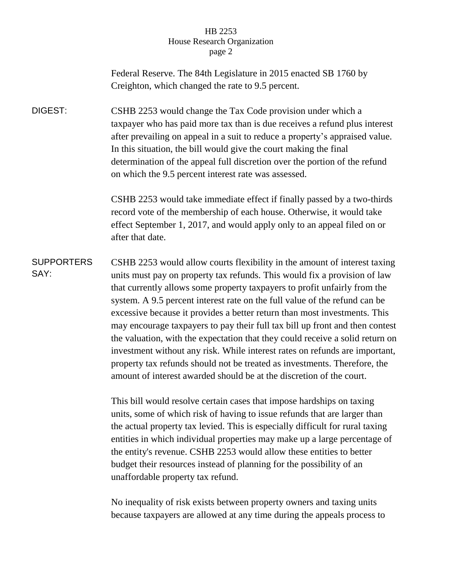## HB 2253 House Research Organization page 2

Federal Reserve. The 84th Legislature in 2015 enacted SB 1760 by Creighton, which changed the rate to 9.5 percent.

DIGEST: CSHB 2253 would change the Tax Code provision under which a taxpayer who has paid more tax than is due receives a refund plus interest after prevailing on appeal in a suit to reduce a property's appraised value. In this situation, the bill would give the court making the final determination of the appeal full discretion over the portion of the refund on which the 9.5 percent interest rate was assessed.

> CSHB 2253 would take immediate effect if finally passed by a two-thirds record vote of the membership of each house. Otherwise, it would take effect September 1, 2017, and would apply only to an appeal filed on or after that date.

**SUPPORTERS** SAY: CSHB 2253 would allow courts flexibility in the amount of interest taxing units must pay on property tax refunds. This would fix a provision of law that currently allows some property taxpayers to profit unfairly from the system. A 9.5 percent interest rate on the full value of the refund can be excessive because it provides a better return than most investments. This may encourage taxpayers to pay their full tax bill up front and then contest the valuation, with the expectation that they could receive a solid return on investment without any risk. While interest rates on refunds are important, property tax refunds should not be treated as investments. Therefore, the amount of interest awarded should be at the discretion of the court.

> This bill would resolve certain cases that impose hardships on taxing units, some of which risk of having to issue refunds that are larger than the actual property tax levied. This is especially difficult for rural taxing entities in which individual properties may make up a large percentage of the entity's revenue. CSHB 2253 would allow these entities to better budget their resources instead of planning for the possibility of an unaffordable property tax refund.

No inequality of risk exists between property owners and taxing units because taxpayers are allowed at any time during the appeals process to